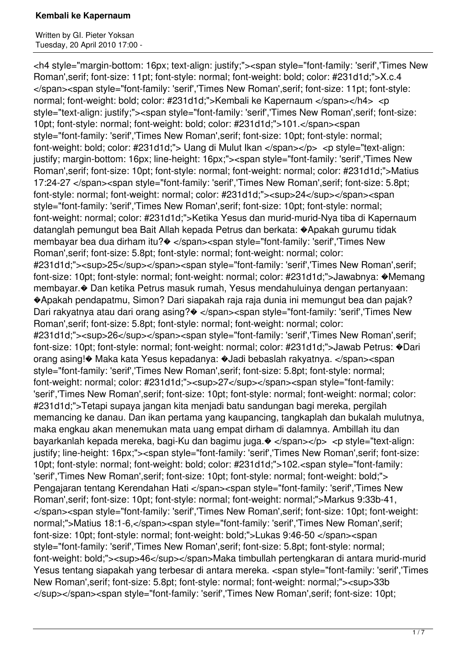Written by GI. Pieter Yoksan Tuesday, 20 April 2010 17:00 -

<h4 style="margin-bottom: 16px; text-align: justify;"><span style="font-family: 'serif','Times New Roman',serif; font-size: 11pt; font-style: normal; font-weight: bold; color: #231d1d;">X.c.4 </span><span style="font-family: 'serif','Times New Roman',serif; font-size: 11pt; font-style: normal; font-weight: bold; color: #231d1d;">Kembali ke Kapernaum </span></h4> <p style="text-align: justify;"><span style="font-family: 'serif','Times New Roman',serif; font-size: 10pt; font-style: normal; font-weight: bold; color: #231d1d;">101.</span><span style="font-family: 'serif','Times New Roman',serif; font-size: 10pt; font-style: normal; font-weight: bold; color: #231d1d;"> Uang di Mulut Ikan </span></p> <p style="text-align: justify; margin-bottom: 16px; line-height: 16px;"><span style="font-family: 'serif','Times New Roman',serif; font-size: 10pt; font-style: normal; font-weight: normal; color: #231d1d;">Matius 17:24-27 </span><span style="font-family: 'serif','Times New Roman',serif; font-size: 5.8pt; font-style: normal; font-weight: normal; color: #231d1d;"><sup>24</sup></span><span style="font-family: 'serif','Times New Roman',serif; font-size: 10pt; font-style: normal; font-weight: normal; color: #231d1d;">Ketika Yesus dan murid-murid-Nya tiba di Kapernaum datanglah pemungut bea Bait Allah kepada Petrus dan berkata: �Apakah gurumu tidak membayar bea dua dirham itu?� </span><span style="font-family: 'serif','Times New Roman',serif; font-size: 5.8pt; font-style: normal; font-weight: normal; color: #231d1d;"><sup>25</sup></span><span style="font-family: 'serif','Times New Roman',serif; font-size: 10pt; font-style: normal; font-weight: normal; color: #231d1d;">Jawabnya: �Memang membayar.� Dan ketika Petrus masuk rumah, Yesus mendahuluinya dengan pertanyaan: �Apakah pendapatmu, Simon? Dari siapakah raja raja dunia ini memungut bea dan pajak? Dari rakyatnya atau dari orang asing? $\bullet$  </span><span style="font-family: 'serif','Times New Roman',serif; font-size: 5.8pt; font-style: normal; font-weight: normal; color: #231d1d;"><sup>26</sup></span><span style="font-family: 'serif','Times New Roman',serif; font-size: 10pt; font-style: normal; font-weight: normal; color: #231d1d;">Jawab Petrus: �Dari orang asing!� Maka kata Yesus kepadanya: �Jadi bebaslah rakyatnya. </span><span style="font-family: 'serif','Times New Roman',serif; font-size: 5.8pt; font-style: normal; font-weight: normal; color: #231d1d;"><sup>27</sup></span><span style="font-family: 'serif','Times New Roman',serif; font-size: 10pt; font-style: normal; font-weight: normal; color: #231d1d;">Tetapi supaya jangan kita menjadi batu sandungan bagi mereka, pergilah memancing ke danau. Dan ikan pertama yang kaupancing, tangkaplah dan bukalah mulutnya, maka engkau akan menemukan mata uang empat dirham di dalamnya. Ambillah itu dan bayarkanlah kepada mereka, bagi-Ku dan bagimu juga. $\bullet$  </span></p> <p style="text-align: justify; line-height: 16px;"><span style="font-family: 'serif','Times New Roman',serif; font-size: 10pt; font-style: normal; font-weight: bold; color: #231d1d;">102.<span style="font-family: 'serif','Times New Roman',serif; font-size: 10pt; font-style: normal; font-weight: bold;"> Pengajaran tentang Kerendahan Hati </span><span style="font-family: 'serif','Times New Roman',serif; font-size: 10pt; font-style: normal; font-weight: normal;">Markus 9:33b-41, </span><span style="font-family: 'serif','Times New Roman',serif; font-size: 10pt; font-weight: normal;">Matius 18:1-6,</span><span style="font-family: 'serif','Times New Roman',serif; font-size: 10pt; font-style: normal; font-weight: bold;">Lukas 9:46-50 </span><span style="font-family: 'serif','Times New Roman',serif; font-size: 5.8pt; font-style: normal; font-weight: bold;"><sup>46</sup></span>Maka timbullah pertengkaran di antara murid-murid Yesus tentang siapakah yang terbesar di antara mereka. <span style="font-family: 'serif','Times New Roman', serif: font-size: 5.8pt; font-style: normal: font-weight: normal:"><sup>33b </sup></span><span style="font-family: 'serif','Times New Roman',serif; font-size: 10pt;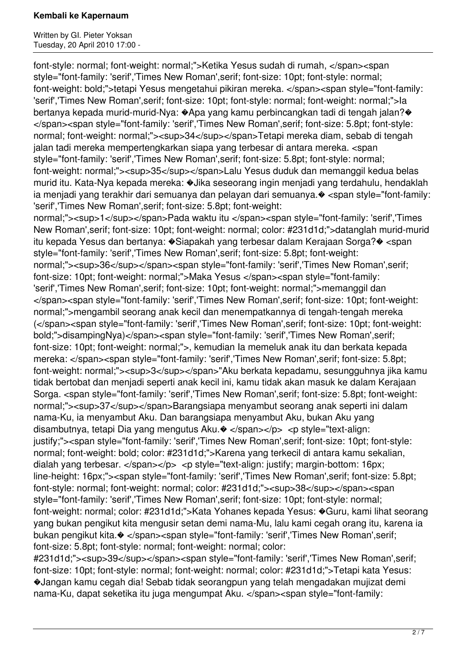Written by GI. Pieter Yoksan Tuesday, 20 April 2010 17:00 -

font-style: normal; font-weight: normal;">Ketika Yesus sudah di rumah, </span><span style="font-family: 'serif','Times New Roman',serif; font-size: 10pt; font-style: normal; font-weight: bold;">tetapi Yesus mengetahui pikiran mereka. </span><span style="font-family: 'serif','Times New Roman',serif; font-size: 10pt; font-style: normal; font-weight: normal;">Ia bertanya kepada murid-murid-Nya: �Apa yang kamu perbincangkan tadi di tengah jalan?� </span><span style="font-family: 'serif','Times New Roman',serif; font-size: 5.8pt; font-style: normal; font-weight: normal;"><sup>34</sup></span>Tetapi mereka diam, sebab di tengah jalan tadi mereka mempertengkarkan siapa yang terbesar di antara mereka. <span style="font-family: 'serif','Times New Roman',serif; font-size: 5.8pt; font-style: normal; font-weight: normal;"><sup>35</sup></span>Lalu Yesus duduk dan memanggil kedua belas murid itu. Kata-Nya kepada mereka: �Jika seseorang ingin menjadi yang terdahulu, hendaklah ia menjadi yang terakhir dari semuanya dan pelayan dari semuanya.� <span style="font-family: 'serif','Times New Roman',serif; font-size: 5.8pt; font-weight: normal;"><sup>1</sup></span>Pada waktu itu </span><span style="font-family: 'serif','Times New Roman',serif; font-size: 10pt; font-weight: normal; color: #231d1d;">datanglah murid-murid itu kepada Yesus dan bertanya: �Siapakah yang terbesar dalam Kerajaan Sorga?� <span style="font-family: 'serif','Times New Roman',serif; font-size: 5.8pt; font-weight: normal;"><sup>36</sup></span><span style="font-family: 'serif','Times New Roman',serif; font-size: 10pt; font-weight: normal;">Maka Yesus </span><span style="font-family: 'serif','Times New Roman',serif; font-size: 10pt; font-weight: normal;">memanggil dan </span><span style="font-family: 'serif','Times New Roman',serif; font-size: 10pt; font-weight: normal;">mengambil seorang anak kecil dan menempatkannya di tengah-tengah mereka (</span><span style="font-family: 'serif','Times New Roman',serif; font-size: 10pt; font-weight: bold;">disampingNya)</span><span style="font-family: 'serif','Times New Roman',serif; font-size: 10pt; font-weight: normal;">, kemudian Ia memeluk anak itu dan berkata kepada mereka: </span><span style="font-family: 'serif','Times New Roman',serif; font-size: 5.8pt; font-weight: normal;"><sup>3</sup></span>"Aku berkata kepadamu, sesungguhnya jika kamu tidak bertobat dan menjadi seperti anak kecil ini, kamu tidak akan masuk ke dalam Kerajaan Sorga. <span style="font-family: 'serif','Times New Roman',serif; font-size: 5.8pt; font-weight: normal;"><sup>37</sup></span>Barangsiapa menyambut seorang anak seperti ini dalam nama-Ku, ia menyambut Aku. Dan barangsiapa menyambut Aku, bukan Aku yang disambutnya, tetapi Dia yang mengutus Aku. $\bullet$  </span></p> <p style="text-align: justify;"><span style="font-family: 'serif','Times New Roman',serif; font-size: 10pt; font-style: normal; font-weight: bold; color: #231d1d;">Karena yang terkecil di antara kamu sekalian, dialah yang terbesar. </span></p> <p style="text-align: justify; margin-bottom: 16px; line-height: 16px;"><span style="font-family: 'serif','Times New Roman',serif; font-size: 5.8pt; font-style: normal; font-weight: normal; color: #231d1d;"><sup>38</sup></span><span style="font-family: 'serif','Times New Roman',serif; font-size: 10pt; font-style: normal; font-weight: normal; color: #231d1d;">Kata Yohanes kepada Yesus: �Guru, kami lihat seorang yang bukan pengikut kita mengusir setan demi nama-Mu, lalu kami cegah orang itu, karena ia bukan pengikut kita.� </span><span style="font-family: 'serif','Times New Roman',serif; font-size: 5.8pt; font-style: normal; font-weight: normal; color:

#231d1d;"><sup>39</sup></span><span style="font-family: 'serif','Times New Roman',serif; font-size: 10pt; font-style: normal; font-weight: normal; color: #231d1d;">Tetapi kata Yesus: �Jangan kamu cegah dia! Sebab tidak seorangpun yang telah mengadakan mujizat demi nama-Ku, dapat seketika itu juga mengumpat Aku. </span><span style="font-family: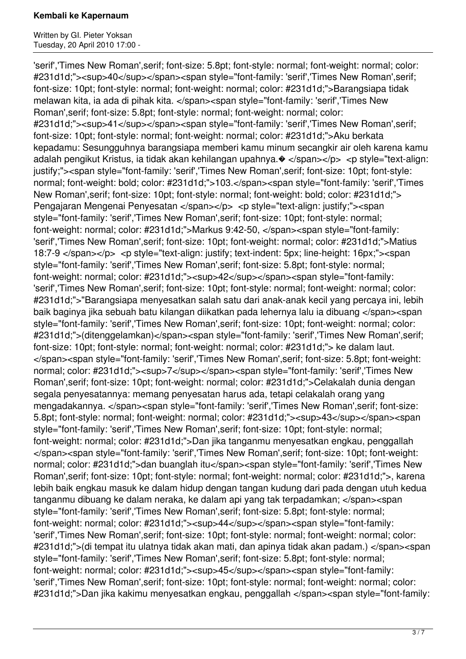Written by GI. Pieter Yoksan Tuesday, 20 April 2010 17:00 -

'serif','Times New Roman',serif; font-size: 5.8pt; font-style: normal; font-weight: normal; color: #231d1d;"><sup>40</sup></span><span style="font-family: 'serif','Times New Roman',serif; font-size: 10pt; font-style: normal; font-weight: normal; color: #231d1d;">Barangsiapa tidak melawan kita, ia ada di pihak kita. </span><span style="font-family: 'serif','Times New Roman',serif; font-size: 5.8pt; font-style: normal; font-weight: normal; color: #231d1d;"><sup>41</sup></span><span style="font-family: 'serif','Times New Roman',serif; font-size: 10pt; font-style: normal; font-weight: normal; color: #231d1d;">Aku berkata kepadamu: Sesungguhnya barangsiapa memberi kamu minum secangkir air oleh karena kamu adalah pengikut Kristus, ia tidak akan kehilangan upahnya. $\bullet$  </span></p> <p style="text-align: justify;"><span style="font-family: 'serif','Times New Roman',serif; font-size: 10pt; font-style: normal; font-weight: bold; color: #231d1d;">103.</span><span style="font-family: 'serif','Times New Roman',serif; font-size: 10pt; font-style: normal; font-weight: bold; color: #231d1d;"> Pengajaran Mengenai Penyesatan </span></p> <p style="text-align: justify;"><span style="font-family: 'serif','Times New Roman',serif; font-size: 10pt; font-style: normal; font-weight: normal; color: #231d1d;">Markus 9:42-50, </span><span style="font-family: 'serif','Times New Roman',serif; font-size: 10pt; font-weight: normal; color: #231d1d;">Matius 18:7-9 </span></p> <p style="text-align: justify; text-indent: 5px; line-height: 16px;"><span style="font-family: 'serif','Times New Roman',serif; font-size: 5.8pt; font-style: normal; font-weight: normal; color: #231d1d;"><sup>42</sup></span><span style="font-family: 'serif','Times New Roman',serif; font-size: 10pt; font-style: normal; font-weight: normal; color: #231d1d;">"Barangsiapa menyesatkan salah satu dari anak-anak kecil yang percaya ini, lebih baik baginya jika sebuah batu kilangan diikatkan pada lehernya lalu ia dibuang </span><span style="font-family: 'serif','Times New Roman',serif; font-size: 10pt; font-weight: normal; color: #231d1d;">(ditenggelamkan)</span><span style="font-family: 'serif','Times New Roman',serif; font-size: 10pt; font-style: normal; font-weight: normal; color: #231d1d;"> ke dalam laut. </span><span style="font-family: 'serif','Times New Roman',serif; font-size: 5.8pt; font-weight: normal; color: #231d1d;"><sup>7</sup></span><span style="font-family: 'serif','Times New Roman',serif; font-size: 10pt; font-weight: normal; color: #231d1d;">Celakalah dunia dengan segala penyesatannya: memang penyesatan harus ada, tetapi celakalah orang yang mengadakannya. </span><span style="font-family: 'serif','Times New Roman',serif; font-size: 5.8pt; font-style: normal; font-weight: normal; color: #231d1d;"><sup>43</sup></span><span style="font-family: 'serif','Times New Roman',serif; font-size: 10pt; font-style: normal; font-weight: normal; color: #231d1d;">Dan jika tanganmu menyesatkan engkau, penggallah </span><span style="font-family: 'serif','Times New Roman',serif; font-size: 10pt; font-weight: normal; color: #231d1d;">dan buanglah itu</span><span style="font-family: 'serif','Times New Roman',serif; font-size: 10pt; font-style: normal; font-weight: normal; color: #231d1d;">, karena lebih baik engkau masuk ke dalam hidup dengan tangan kudung dari pada dengan utuh kedua tanganmu dibuang ke dalam neraka, ke dalam api yang tak terpadamkan; </span><span style="font-family: 'serif','Times New Roman',serif; font-size: 5.8pt; font-style: normal; font-weight: normal; color: #231d1d;"><sup>44</sup></span><span style="font-family: 'serif','Times New Roman',serif; font-size: 10pt; font-style: normal; font-weight: normal; color: #231d1d;">(di tempat itu ulatnya tidak akan mati, dan apinya tidak akan padam.) </span><span style="font-family: 'serif','Times New Roman',serif; font-size: 5.8pt; font-style: normal; font-weight: normal; color: #231d1d;"><sup>45</sup></span><span style="font-family: 'serif','Times New Roman',serif; font-size: 10pt; font-style: normal; font-weight: normal; color: #231d1d;">Dan jika kakimu menyesatkan engkau, penggallah </span><span style="font-family: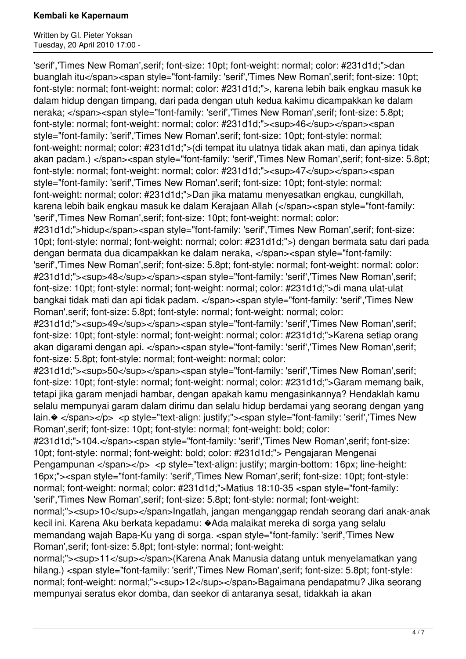Written by GI. Pieter Yoksan Tuesday, 20 April 2010 17:00 -

'serif','Times New Roman',serif; font-size: 10pt; font-weight: normal; color: #231d1d;">dan buanglah itu</span><span style="font-family: 'serif','Times New Roman', serif; font-size: 10pt; font-style: normal; font-weight: normal; color: #231d1d;">, karena lebih baik engkau masuk ke dalam hidup dengan timpang, dari pada dengan utuh kedua kakimu dicampakkan ke dalam neraka; </span><span style="font-family: 'serif','Times New Roman',serif; font-size: 5.8pt; font-style: normal; font-weight: normal; color: #231d1d;"><sup>46</sup></span><span style="font-family: 'serif','Times New Roman',serif; font-size: 10pt; font-style: normal; font-weight: normal; color: #231d1d;">(di tempat itu ulatnya tidak akan mati, dan apinya tidak akan padam.) </span><span style="font-family: 'serif','Times New Roman',serif; font-size: 5.8pt; font-style: normal; font-weight: normal; color: #231d1d;"><sup>47</sup></span><span style="font-family: 'serif','Times New Roman',serif; font-size: 10pt; font-style: normal; font-weight: normal; color: #231d1d;">Dan jika matamu menyesatkan engkau, cungkillah, karena lebih baik engkau masuk ke dalam Kerajaan Allah (</span><span style="font-family: 'serif','Times New Roman',serif; font-size: 10pt; font-weight: normal; color: #231d1d;">hidup</span><span style="font-family: 'serif','Times New Roman',serif; font-size: 10pt; font-style: normal; font-weight: normal; color: #231d1d;">) dengan bermata satu dari pada dengan bermata dua dicampakkan ke dalam neraka, </span><span style="font-family: 'serif','Times New Roman',serif; font-size: 5.8pt; font-style: normal; font-weight: normal; color: #231d1d;"><sup>48</sup></span><span style="font-family: 'serif','Times New Roman',serif; font-size: 10pt; font-style: normal; font-weight: normal; color: #231d1d;">di mana ulat-ulat bangkai tidak mati dan api tidak padam. </span><span style="font-family: 'serif','Times New Roman',serif; font-size: 5.8pt; font-style: normal; font-weight: normal; color: #231d1d;"><sup>49</sup></span><span style="font-family: 'serif','Times New Roman',serif; font-size: 10pt; font-style: normal; font-weight: normal; color: #231d1d;">Karena setiap orang akan digarami dengan api. </span><span style="font-family: 'serif','Times New Roman',serif; font-size: 5.8pt; font-style: normal; font-weight: normal; color: #231d1d;"><sup>50</sup></span><span style="font-family: 'serif','Times New Roman',serif; font-size: 10pt; font-style: normal; font-weight: normal; color: #231d1d;">Garam memang baik, tetapi jika garam menjadi hambar, dengan apakah kamu mengasinkannya? Hendaklah kamu selalu mempunyai garam dalam dirimu dan selalu hidup berdamai yang seorang dengan yang lain. $\otimes$  </span></p> <p style="text-align: justify;"><span style="font-family: 'serif','Times New Roman',serif; font-size: 10pt; font-style: normal; font-weight: bold; color: #231d1d;">104.</span><span style="font-family: 'serif','Times New Roman', serif; font-size: 10pt; font-style: normal; font-weight: bold; color: #231d1d;"> Pengajaran Mengenai Pengampunan </span></p> <p style="text-align: justify; margin-bottom: 16px; line-height: 16px;"><span style="font-family: 'serif','Times New Roman',serif; font-size: 10pt; font-style: normal; font-weight: normal; color: #231d1d;">Matius 18:10-35 <span style="font-family: 'serif','Times New Roman',serif; font-size: 5.8pt; font-style: normal; font-weight: normal;"><sup>10</sup></span>lngatlah, jangan menganggap rendah seorang dari anak-anak kecil ini. Karena Aku berkata kepadamu: �Ada malaikat mereka di sorga yang selalu memandang wajah Bapa-Ku yang di sorga. <span style="font-family: 'serif','Times New Roman',serif; font-size: 5.8pt; font-style: normal; font-weight: normal;"><sup>11</sup></span>(Karena Anak Manusia datang untuk menyelamatkan yang hilang.) <span style="font-family: 'serif'.'Times New Roman', serif: font-size: 5.8pt; font-style:

normal; font-weight: normal;"><sup>12</sup></span>Bagaimana pendapatmu? Jika seorang mempunyai seratus ekor domba, dan seekor di antaranya sesat, tidakkah ia akan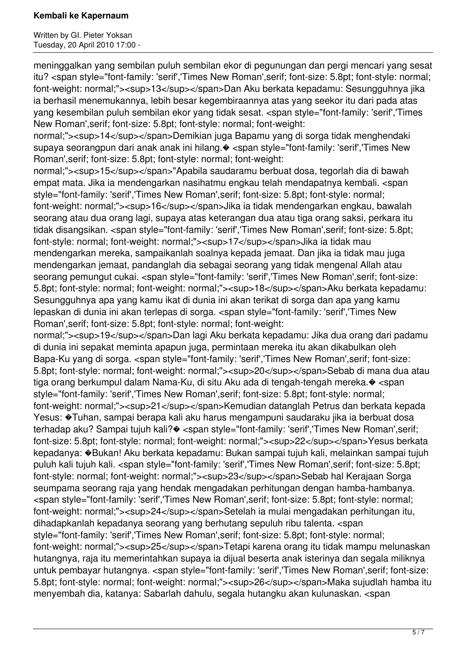Written by GI. Pieter Yoksan Tuesday, 20 April 2010 17:00 -

meninggalkan yang sembilan puluh sembilan ekor di pegunungan dan pergi mencari yang sesat itu? <span style="font-family: 'serif','Times New Roman',serif; font-size: 5.8pt; font-style: normal; font-weight: normal;"><sup>13</sup></span>Dan Aku berkata kepadamu: Sesungguhnya jika ia berhasil menemukannya, lebih besar kegembiraannya atas yang seekor itu dari pada atas yang kesembilan puluh sembilan ekor yang tidak sesat. <span style="font-family: 'serif','Times New Roman',serif; font-size: 5.8pt; font-style: normal; font-weight:

normal;"><sup>14</sup></span>Demikian juga Bapamu yang di sorga tidak menghendaki supaya seorangpun dari anak anak ini hilang. $\bullet$  <span style="font-family: 'serif','Times New Roman',serif; font-size: 5.8pt; font-style: normal; font-weight:

normal;"><sup>15</sup></span>"Apabila saudaramu berbuat dosa, tegorlah dia di bawah empat mata. Jika ia mendengarkan nasihatmu engkau telah mendapatnya kembali. <span style="font-family: 'serif','Times New Roman',serif; font-size: 5.8pt; font-style: normal; font-weight: normal;"><sup>16</sup></span>Jika ia tidak mendengarkan engkau, bawalah seorang atau dua orang lagi, supaya atas keterangan dua atau tiga orang saksi, perkara itu tidak disangsikan. <span style="font-family: 'serif','Times New Roman',serif; font-size: 5.8pt; font-style: normal; font-weight: normal;"><sup>17</sup></span>Jika ia tidak mau mendengarkan mereka, sampaikanlah soalnya kepada jemaat. Dan jika ia tidak mau juga mendengarkan jemaat, pandanglah dia sebagai seorang yang tidak mengenal Allah atau seorang pemungut cukai. <span style="font-family: 'serif','Times New Roman',serif; font-size: 5.8pt; font-style: normal; font-weight: normal;"><sup>18</sup></span>Aku berkata kepadamu: Sesungguhnya apa yang kamu ikat di dunia ini akan terikat di sorga dan apa yang kamu lepaskan di dunia ini akan terlepas di sorga. <span style="font-family: 'serif','Times New Roman',serif; font-size: 5.8pt; font-style: normal; font-weight:

normal;"><sup>19</sup></span>Dan lagi Aku berkata kepadamu: Jika dua orang dari padamu di dunia ini sepakat meminta apapun juga, permintaan mereka itu akan dikabulkan oleh Bapa-Ku yang di sorga. <span style="font-family: 'serif','Times New Roman', serif; font-size: 5.8pt; font-style: normal; font-weight: normal;"><sup>20</sup></span>Sebab di mana dua atau tiga orang berkumpul dalam Nama-Ku, di situ Aku ada di tengah-tengah mereka.� <span style="font-family: 'serif','Times New Roman',serif; font-size: 5.8pt; font-style: normal; font-weight: normal;"><sup>21</sup></span>Kemudian datanglah Petrus dan berkata kepada Yesus: �Tuhan, sampai berapa kali aku harus mengampuni saudaraku jika ia berbuat dosa terhadap aku? Sampai tujuh kali?� <span style="font-family: 'serif','Times New Roman',serif; font-size: 5.8pt; font-style: normal; font-weight: normal;"><sup>22</sup></span>Yesus berkata kepadanya: �Bukan! Aku berkata kepadamu: Bukan sampai tujuh kali, melainkan sampai tujuh puluh kali tujuh kali. <span style="font-family: 'serif','Times New Roman',serif; font-size: 5.8pt; font-style: normal; font-weight: normal;"><sup>23</sup></span>Sebab hal Kerajaan Sorga seumpama seorang raja yang hendak mengadakan perhitungan dengan hamba-hambanya. <span style="font-family: 'serif','Times New Roman',serif; font-size: 5.8pt; font-style: normal; font-weight: normal;"><sup>24</sup></span>Setelah ia mulai mengadakan perhitungan itu, dihadapkanlah kepadanya seorang yang berhutang sepuluh ribu talenta. <span style="font-family: 'serif','Times New Roman',serif; font-size: 5.8pt; font-style: normal; font-weight: normal;"><sup>25</sup></span>Tetapi karena orang itu tidak mampu melunaskan hutangnya, raja itu memerintahkan supaya ia dijual beserta anak isterinya dan segala miliknya untuk pembayar hutangnya. <span style="font-family: 'serif','Times New Roman',serif; font-size: 5.8pt; font-style: normal; font-weight: normal;"><sup>26</sup></span>Maka sujudlah hamba itu menyembah dia, katanya: Sabarlah dahulu, segala hutangku akan kulunaskan. <span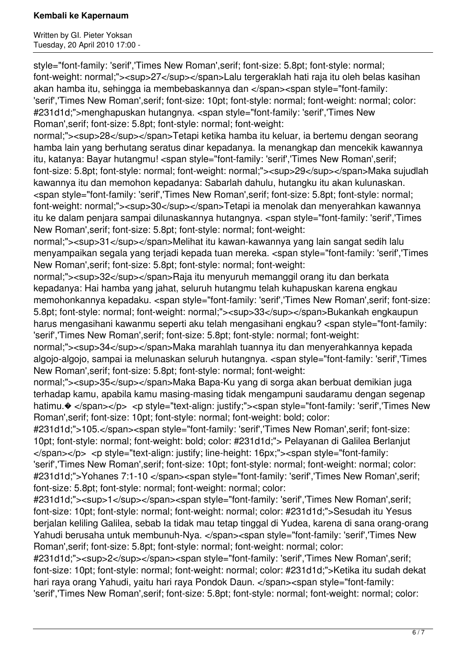Written by GI. Pieter Yoksan Tuesday, 20 April 2010 17:00 -

style="font-family: 'serif','Times New Roman',serif; font-size: 5.8pt; font-style: normal; font-weight: normal;"><sup>27</sup></span>Lalu tergeraklah hati raja itu oleh belas kasihan akan hamba itu, sehingga ia membebaskannya dan </span><span style="font-family: 'serif','Times New Roman',serif; font-size: 10pt; font-style: normal; font-weight: normal; color: #231d1d;">menghapuskan hutangnya. <span style="font-family: 'serif','Times New Roman',serif; font-size: 5.8pt; font-style: normal; font-weight:

normal;"><sup>28</sup></span>Tetapi ketika hamba itu keluar, ia bertemu dengan seorang hamba lain yang berhutang seratus dinar kepadanya. Ia menangkap dan mencekik kawannya itu, katanya: Bayar hutangmu! <span style="font-family: 'serif','Times New Roman',serif; font-size: 5.8pt; font-style: normal; font-weight: normal;"><sup>29</sup></span>Maka sujudlah kawannya itu dan memohon kepadanya: Sabarlah dahulu, hutangku itu akan kulunaskan. <span style="font-family: 'serif','Times New Roman',serif; font-size: 5.8pt; font-style: normal; font-weight: normal;"><sup>30</sup></span>Tetapi ia menolak dan menyerahkan kawannya itu ke dalam penjara sampai dilunaskannya hutangnya. <span style="font-family: 'serif','Times New Roman',serif; font-size: 5.8pt; font-style: normal; font-weight:

normal;"><sup>31</sup></span>Melihat itu kawan-kawannya yang lain sangat sedih lalu menyampaikan segala yang terjadi kepada tuan mereka. <span style="font-family: 'serif','Times New Roman',serif; font-size: 5.8pt; font-style: normal; font-weight:

normal:"><sup>32</sup></span>Raja itu menyuruh memanggil orang itu dan berkata kepadanya: Hai hamba yang jahat, seluruh hutangmu telah kuhapuskan karena engkau memohonkannya kepadaku. <span style="font-family: 'serif','Times New Roman',serif; font-size: 5.8pt; font-style: normal; font-weight: normal;"><sup>33</sup></span>Bukankah engkaupun harus mengasihani kawanmu seperti aku telah mengasihani engkau? <span style="font-family: 'serif','Times New Roman',serif; font-size: 5.8pt; font-style: normal; font-weight:

normal;"><sup>34</sup></span>Maka marahlah tuannya itu dan menyerahkannya kepada algojo-algojo, sampai ia melunaskan seluruh hutangnya. <span style="font-family: 'serif','Times New Roman',serif; font-size: 5.8pt; font-style: normal; font-weight:

normal;"><sup>35</sup></span>Maka Bapa-Ku yang di sorga akan berbuat demikian juga terhadap kamu, apabila kamu masing-masing tidak mengampuni saudaramu dengan segenap hatimu. $\otimes$  </span></p> <p style="text-align: justify;"><span style="font-family: 'serif','Times New Roman',serif; font-size: 10pt; font-style: normal; font-weight: bold; color:

#231d1d;">105.</span><span style="font-family: 'serif','Times New Roman',serif; font-size: 10pt; font-style: normal; font-weight: bold; color: #231d1d;"> Pelayanan di Galilea Berlanjut </span></p> <p style="text-align: justify; line-height: 16px;"><span style="font-family: 'serif','Times New Roman',serif; font-size: 10pt; font-style: normal; font-weight: normal; color: #231d1d;">Yohanes 7:1-10 </span><span style="font-family: 'serif','Times New Roman',serif; font-size: 5.8pt; font-style: normal; font-weight: normal; color:

#231d1d;"><sup>1</sup></span><span style="font-family: 'serif','Times New Roman',serif; font-size: 10pt; font-style: normal; font-weight: normal; color: #231d1d;">Sesudah itu Yesus berjalan keliling Galilea, sebab Ia tidak mau tetap tinggal di Yudea, karena di sana orang-orang Yahudi berusaha untuk membunuh-Nya. </span><span style="font-family: 'serif','Times New Roman',serif; font-size: 5.8pt; font-style: normal; font-weight: normal; color:

#231d1d;"><sup>2</sup></span><span style="font-family: 'serif','Times New Roman',serif; font-size: 10pt; font-style: normal; font-weight: normal; color: #231d1d;">Ketika itu sudah dekat hari raya orang Yahudi, yaitu hari raya Pondok Daun. </span><span style="font-family: 'serif','Times New Roman',serif; font-size: 5.8pt; font-style: normal; font-weight: normal; color: